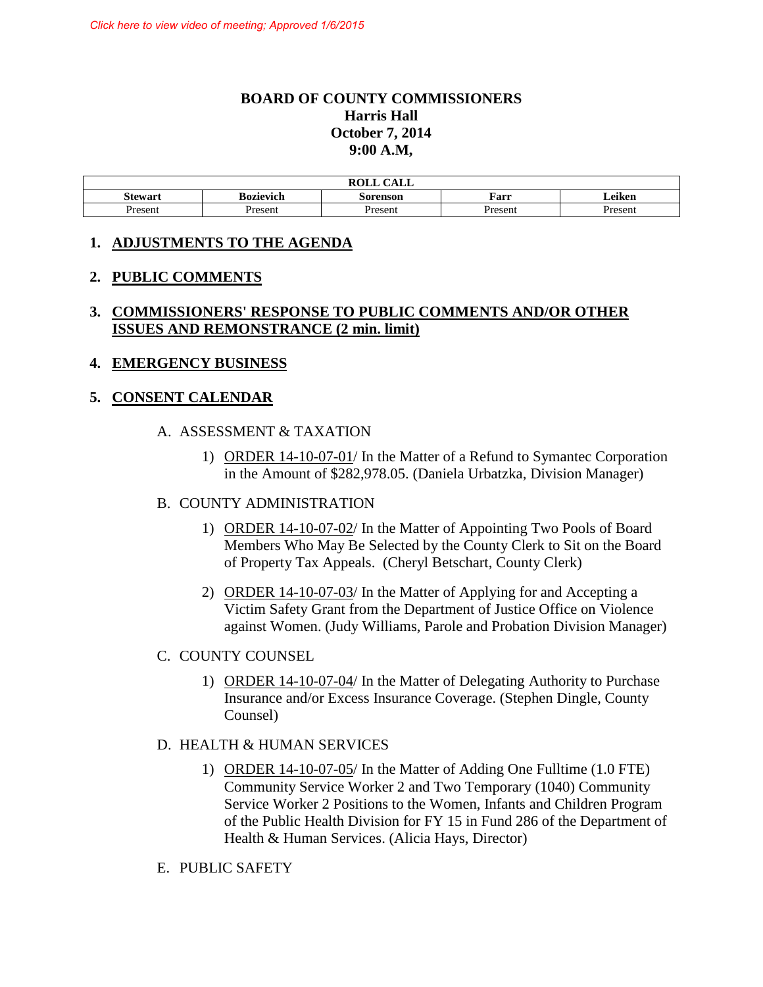# **BOARD OF COUNTY COMMISSIONERS Harris Hall October 7, 2014 9:00 A.M,**

| CAT<br><b>ROLL</b><br>ـ بابلاد، |                                                           |         |         |         |  |
|---------------------------------|-----------------------------------------------------------|---------|---------|---------|--|
| Stewart                         | $\cdot$<br><b>Bozievich</b><br>Farr<br>Leiken<br>Sorenson |         |         |         |  |
| <b>Present</b>                  | Present                                                   | Present | Present | Present |  |

#### **1. ADJUSTMENTS TO THE AGENDA**

#### **2. PUBLIC COMMENTS**

## **3. COMMISSIONERS' RESPONSE TO PUBLIC COMMENTS AND/OR OTHER ISSUES AND REMONSTRANCE (2 min. limit)**

#### **4. EMERGENCY BUSINESS**

#### **5. CONSENT CALENDAR**

#### A. ASSESSMENT & TAXATION

1) ORDER 14-10-07-01/ In the Matter of a Refund to Symantec Corporation in the Amount of \$282,978.05. (Daniela Urbatzka, Division Manager)

#### B. COUNTY ADMINISTRATION

- 1) ORDER 14-10-07-02/ In the Matter of Appointing Two Pools of Board Members Who May Be Selected by the County Clerk to Sit on the Board of Property Tax Appeals. (Cheryl Betschart, County Clerk)
- 2) ORDER 14-10-07-03/ In the Matter of Applying for and Accepting a Victim Safety Grant from the Department of Justice Office on Violence against Women. (Judy Williams, Parole and Probation Division Manager)

#### C. COUNTY COUNSEL

1) ORDER 14-10-07-04/ In the Matter of Delegating Authority to Purchase Insurance and/or Excess Insurance Coverage. (Stephen Dingle, County Counsel)

#### D. HEALTH & HUMAN SERVICES

- 1) ORDER 14-10-07-05/ In the Matter of Adding One Fulltime (1.0 FTE) Community Service Worker 2 and Two Temporary (1040) Community Service Worker 2 Positions to the Women, Infants and Children Program of the Public Health Division for FY 15 in Fund 286 of the Department of Health & Human Services. (Alicia Hays, Director)
- E. PUBLIC SAFETY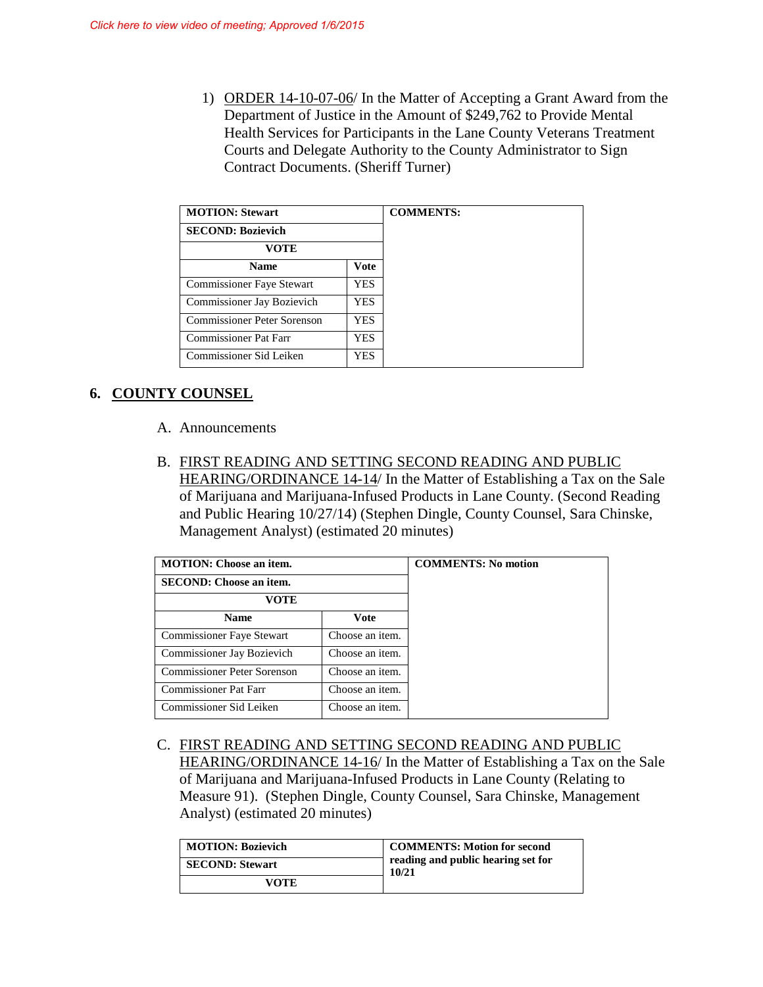1) ORDER 14-10-07-06/ In the Matter of Accepting a Grant Award from the Department of Justice in the Amount of \$249,762 to Provide Mental Health Services for Participants in the Lane County Veterans Treatment Courts and Delegate Authority to the County Administrator to Sign Contract Documents. (Sheriff Turner)

| <b>MOTION: Stewart</b>           |      |
|----------------------------------|------|
| <b>SECOND: Bozievich</b>         |      |
| VOTE                             |      |
| <b>Name</b>                      | Vote |
| <b>Commissioner Faye Stewart</b> | YES. |
| Commissioner Jay Bozievich       | YES. |
| Commissioner Peter Sorenson      | YES. |
| Commissioner Pat Farr            | YES. |
| Commissioner Sid Leiken          | YES. |

# **6. COUNTY COUNSEL**

- A. Announcements
- B. FIRST READING AND SETTING SECOND READING AND PUBLIC HEARING/ORDINANCE 14-14/ In the Matter of Establishing a Tax on the Sale of Marijuana and Marijuana-Infused Products in Lane County. (Second Reading and Public Hearing 10/27/14) (Stephen Dingle, County Counsel, Sara Chinske, Management Analyst) (estimated 20 minutes)

| <b>MOTION:</b> Choose an item.<br><b>SECOND:</b> Choose an item.<br>VOTE |                 | <b>COMMENTS:</b> No motion |
|--------------------------------------------------------------------------|-----------------|----------------------------|
| <b>Name</b>                                                              | Vote            |                            |
| Commissioner Faye Stewart                                                | Choose an item. |                            |
| Commissioner Jay Bozievich                                               | Choose an item. |                            |
| <b>Commissioner Peter Sorenson</b>                                       | Choose an item. |                            |
| <b>Commissioner Pat Farr</b>                                             | Choose an item. |                            |
| Commissioner Sid Leiken                                                  | Choose an item. |                            |

C. FIRST READING AND SETTING SECOND READING AND PUBLIC HEARING/ORDINANCE 14-16/ In the Matter of Establishing a Tax on the Sale of Marijuana and Marijuana-Infused Products in Lane County (Relating to Measure 91). (Stephen Dingle, County Counsel, Sara Chinske, Management Analyst) (estimated 20 minutes)

| <b>MOTION: Bozievich</b> | <b>COMMENTS: Motion for second</b><br>reading and public hearing set for<br>10/21 |
|--------------------------|-----------------------------------------------------------------------------------|
| <b>SECOND: Stewart</b>   |                                                                                   |
| VOTE                     |                                                                                   |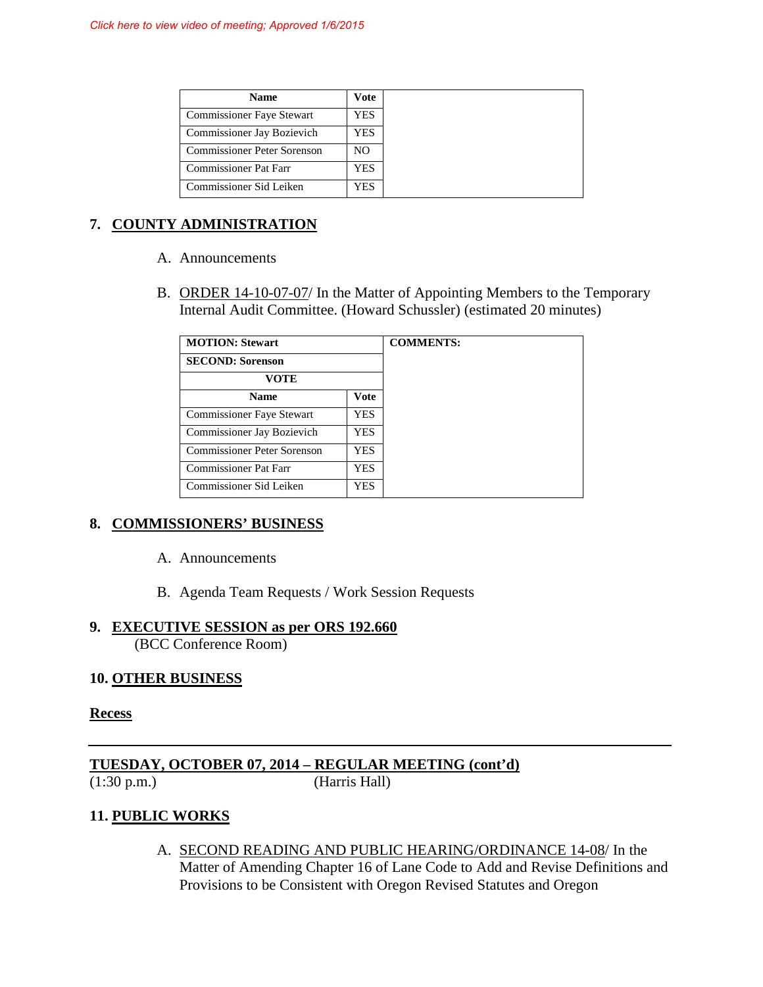| <b>Name</b>                        | Vote |
|------------------------------------|------|
| <b>Commissioner Faye Stewart</b>   | YES  |
| <b>Commissioner Jay Bozievich</b>  | YES  |
| <b>Commissioner Peter Sorenson</b> | NO   |
| <b>Commissioner Pat Farr</b>       | YES  |
| Commissioner Sid Leiken            | YES  |

# **7. COUNTY ADMINISTRATION**

- A. Announcements
- B. ORDER 14-10-07-07/ In the Matter of Appointing Members to the Temporary Internal Audit Committee. (Howard Schussler) (estimated 20 minutes)

| <b>MOTION: Stewart</b>             |      |  |
|------------------------------------|------|--|
| <b>SECOND: Sorenson</b>            |      |  |
| VOTE                               |      |  |
| <b>Name</b>                        | Vote |  |
| <b>Commissioner Faye Stewart</b>   | YES  |  |
| Commissioner Jay Bozievich         | YES  |  |
| <b>Commissioner Peter Sorenson</b> | YES. |  |
| Commissioner Pat Farr              | YES  |  |
| Commissioner Sid Leiken            | YES  |  |

## **8. COMMISSIONERS' BUSINESS**

- A. Announcements
- B. Agenda Team Requests / Work Session Requests

## **9. EXECUTIVE SESSION as per ORS 192.660**

(BCC Conference Room)

## **10. OTHER BUSINESS**

#### **Recess**

**TUESDAY, OCTOBER 07, 2014 – REGULAR MEETING (cont'd)** (1:30 p.m.) (Harris Hall)

# **11. PUBLIC WORKS**

A. SECOND READING AND PUBLIC HEARING/ORDINANCE 14-08/ In the Matter of Amending Chapter 16 of Lane Code to Add and Revise Definitions and Provisions to be Consistent with Oregon Revised Statutes and Oregon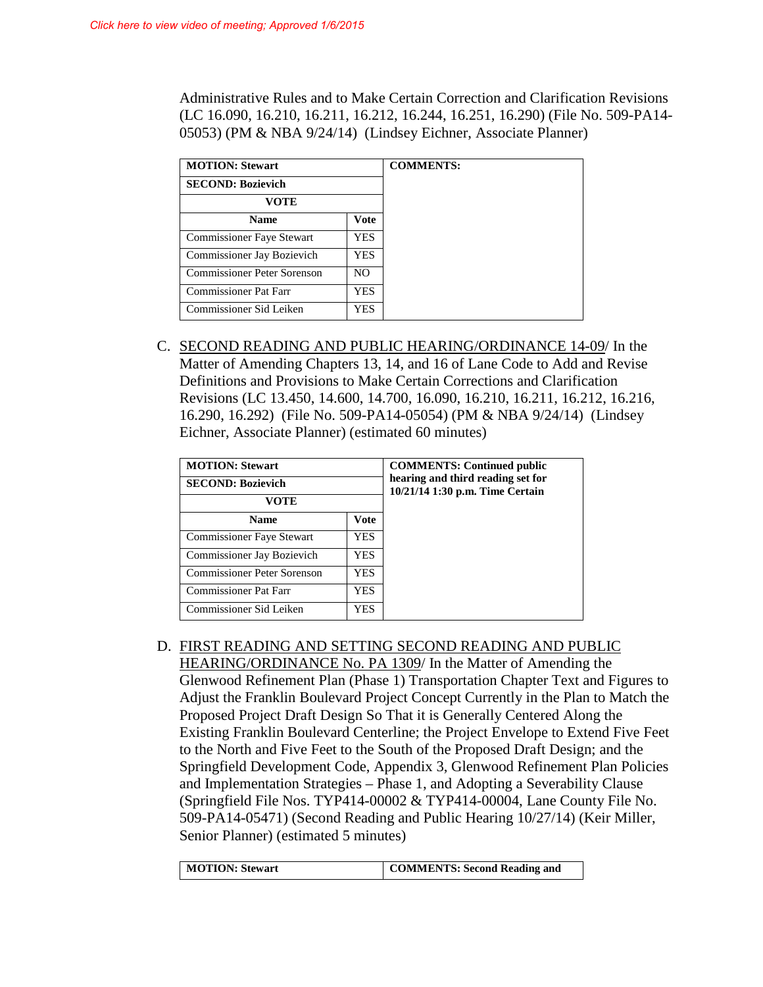Administrative Rules and to Make Certain Correction and Clarification Revisions (LC 16.090, 16.210, 16.211, 16.212, 16.244, 16.251, 16.290) (File No. 509-PA14- 05053) (PM & NBA 9/24/14) (Lindsey Eichner, Associate Planner)

| <b>MOTION: Stewart</b>             |            | <b>COMMENTS:</b> |
|------------------------------------|------------|------------------|
| <b>SECOND: Bozievich</b>           |            |                  |
| VOTE                               |            |                  |
| <b>Name</b>                        | Vote       |                  |
| <b>Commissioner Faye Stewart</b>   | <b>YES</b> |                  |
| Commissioner Jay Bozievich         | YES        |                  |
| <b>Commissioner Peter Sorenson</b> | NO.        |                  |
| Commissioner Pat Farr              | YES        |                  |
| Commissioner Sid Leiken            | YES.       |                  |

C. SECOND READING AND PUBLIC HEARING/ORDINANCE 14-09/ In the Matter of Amending Chapters 13, 14, and 16 of Lane Code to Add and Revise Definitions and Provisions to Make Certain Corrections and Clarification Revisions (LC 13.450, 14.600, 14.700, 16.090, 16.210, 16.211, 16.212, 16.216, 16.290, 16.292) (File No. 509-PA14-05054) (PM & NBA 9/24/14) (Lindsey Eichner, Associate Planner) (estimated 60 minutes)

| <b>MOTION: Stewart</b>           |             | <b>COMMENTS: Continued public</b><br>hearing and third reading set for<br>10/21/14 1:30 p.m. Time Certain |
|----------------------------------|-------------|-----------------------------------------------------------------------------------------------------------|
| <b>SECOND: Bozievich</b>         |             |                                                                                                           |
| VOTE                             |             |                                                                                                           |
| <b>Name</b>                      | <b>Vote</b> |                                                                                                           |
| <b>Commissioner Faye Stewart</b> | YES.        |                                                                                                           |
| Commissioner Jay Bozievich       | YES.        |                                                                                                           |
| Commissioner Peter Sorenson      | <b>YES</b>  |                                                                                                           |
| <b>Commissioner Pat Farr</b>     | YES.        |                                                                                                           |
| Commissioner Sid Leiken          | YES.        |                                                                                                           |

D. FIRST READING AND SETTING SECOND READING AND PUBLIC HEARING/ORDINANCE No. PA 1309/ In the Matter of Amending the Glenwood Refinement Plan (Phase 1) Transportation Chapter Text and Figures to Adjust the Franklin Boulevard Project Concept Currently in the Plan to Match the Proposed Project Draft Design So That it is Generally Centered Along the Existing Franklin Boulevard Centerline; the Project Envelope to Extend Five Feet to the North and Five Feet to the South of the Proposed Draft Design; and the Springfield Development Code, Appendix 3, Glenwood Refinement Plan Policies and Implementation Strategies – Phase 1, and Adopting a Severability Clause (Springfield File Nos. TYP414-00002 & TYP414-00004, Lane County File No. 509-PA14-05471) (Second Reading and Public Hearing 10/27/14) (Keir Miller, Senior Planner) (estimated 5 minutes)

| COMMENTS: Second Reading and |
|------------------------------|
|                              |